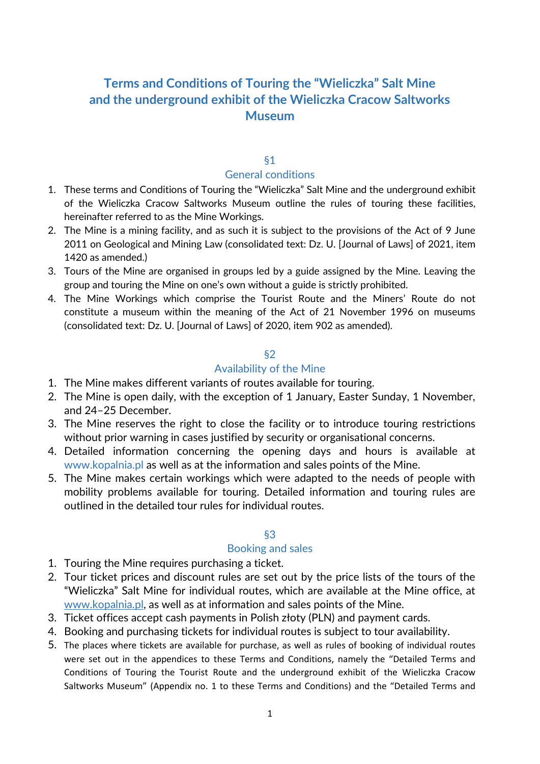# **Terms and Conditions of Touring the "Wieliczka" Salt Mine and the underground exhibit of the Wieliczka Cracow Saltworks Museum**

# §1 General conditions

- 1. These terms and Conditions of Touring the "Wieliczka" Salt Mine and the underground exhibit of the Wieliczka Cracow Saltworks Museum outline the rules of touring these facilities, hereinafter referred to as the Mine Workings.
- 2. The Mine is a mining facility, and as such it is subject to the provisions of the Act of 9 June 2011 on Geological and Mining Law (consolidated text: Dz. U. [Journal of Laws] of 2021, item 1420 as amended.)
- 3. Tours of the Mine are organised in groups led by a guide assigned by the Mine. Leaving the group and touring the Mine on one's own without a guide is strictly prohibited.
- 4. The Mine Workings which comprise the Tourist Route and the Miners' Route do not constitute a museum within the meaning of the Act of 21 November 1996 on museums (consolidated text: Dz. U. [Journal of Laws] of 2020, item 902 as amended).

# §2

# Availability of the Mine

- 1. The Mine makes different variants of routes available for touring.
- 2. The Mine is open daily, with the exception of 1 January, Easter Sunday, 1 November, and 24–25 December.
- 3. The Mine reserves the right to close the facility or to introduce touring restrictions without prior warning in cases justified by security or organisational concerns.
- 4. Detailed information concerning the opening days and hours is available at www.kopalnia.pl as well as at the information and sales points of the Mine.
- 5. The Mine makes certain workings which were adapted to the needs of people with mobility problems available for touring. Detailed information and touring rules are outlined in the detailed tour rules for individual routes.

## §3

## Booking and sales

- 1. Touring the Mine requires purchasing a ticket.
- 2. Tour ticket prices and discount rules are set out by the price lists of the tours of the "Wieliczka" Salt Mine for individual routes, which are available at the Mine office, at www.kopalnia.pl, as well as at information and sales points of the Mine.
- 3. Ticket offices accept cash payments in Polish złoty (PLN) and payment cards.
- 4. Booking and purchasing tickets for individual routes is subject to tour availability.
- 5. The places where tickets are available for purchase, as well as rules of booking of individual routes were set out in the appendices to these Terms and Conditions, namely the "Detailed Terms and Conditions of Touring the Tourist Route and the underground exhibit of the Wieliczka Cracow Saltworks Museum" (Appendix no. 1 to these Terms and Conditions) and the "Detailed Terms and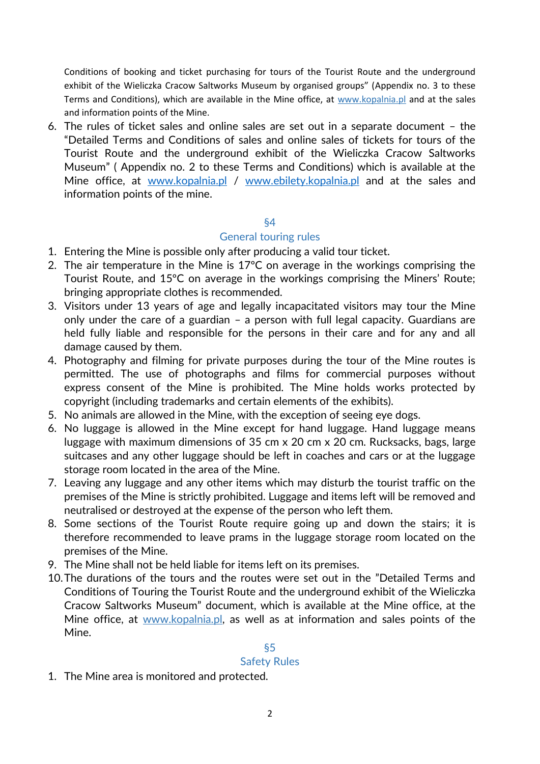Conditions of booking and ticket purchasing for tours of the Tourist Route and the underground exhibit of the Wieliczka Cracow Saltworks Museum by organised groups" (Appendix no. 3 to these Terms and Conditions), which are available in the Mine office, at www.kopalnia.pl and at the sales and information points of the Mine.

6. The rules of ticket sales and online sales are set out in a separate document – the "Detailed Terms and Conditions of sales and online sales of tickets for tours of the Tourist Route and the underground exhibit of the Wieliczka Cracow Saltworks Museum" ( Appendix no. 2 to these Terms and Conditions) which is available at the Mine office, at [www.kopalnia.pl](http://www.kopalnia.pl/) / [www.ebilety.kopalnia.pl](http://www.ebilety.kopalnia.pl/) and at the sales and information points of the mine.

## §4

#### General touring rules

- 1. Entering the Mine is possible only after producing a valid tour ticket.
- 2. The air temperature in the Mine is 17ºC on average in the workings comprising the Tourist Route, and 15ºC on average in the workings comprising the Miners' Route; bringing appropriate clothes is recommended.
- 3. Visitors under 13 years of age and legally incapacitated visitors may tour the Mine only under the care of a guardian – a person with full legal capacity. Guardians are held fully liable and responsible for the persons in their care and for any and all damage caused by them.
- 4. Photography and filming for private purposes during the tour of the Mine routes is permitted. The use of photographs and films for commercial purposes without express consent of the Mine is prohibited. The Mine holds works protected by copyright (including trademarks and certain elements of the exhibits).
- 5. No animals are allowed in the Mine, with the exception of seeing eye dogs.
- 6. No luggage is allowed in the Mine except for hand luggage. Hand luggage means luggage with maximum dimensions of 35 cm x 20 cm x 20 cm. Rucksacks, bags, large suitcases and any other luggage should be left in coaches and cars or at the luggage storage room located in the area of the Mine.
- 7. Leaving any luggage and any other items which may disturb the tourist traffic on the premises of the Mine is strictly prohibited. Luggage and items left will be removed and neutralised or destroyed at the expense of the person who left them.
- 8. Some sections of the Tourist Route require going up and down the stairs; it is therefore recommended to leave prams in the luggage storage room located on the premises of the Mine.
- 9. The Mine shall not be held liable for items left on its premises.
- 10.The durations of the tours and the routes were set out in the "Detailed Terms and Conditions of Touring the Tourist Route and the underground exhibit of the Wieliczka Cracow Saltworks Museum" document, which is available at the Mine office, at the Mine office, at www.kopalnia.pl, as well as at information and sales points of the Mine.

## §5

## Safety Rules

1. The Mine area is monitored and protected.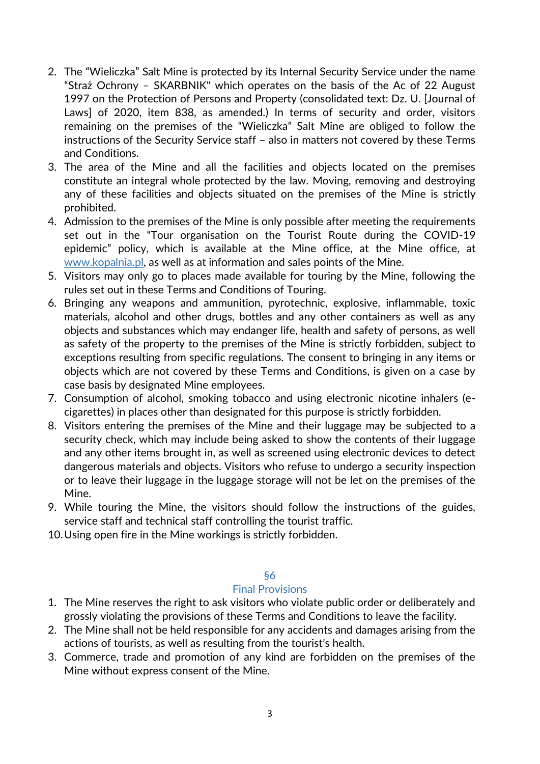- 2. The "Wieliczka" Salt Mine is protected by its Internal Security Service under the name "Straż Ochrony – SKARBNIK" which operates on the basis of the Ac of 22 August 1997 on the Protection of Persons and Property (consolidated text: Dz. U. [Journal of Laws] of 2020, item 838, as amended.) In terms of security and order, visitors remaining on the premises of the "Wieliczka" Salt Mine are obliged to follow the instructions of the Security Service staff – also in matters not covered by these Terms and Conditions.
- 3. The area of the Mine and all the facilities and objects located on the premises constitute an integral whole protected by the law. Moving, removing and destroying any of these facilities and objects situated on the premises of the Mine is strictly prohibited.
- 4. Admission to the premises of the Mine is only possible after meeting the requirements set out in the "Tour organisation on the Tourist Route during the COVID-19 epidemic" policy, which is available at the Mine office, at the Mine office, at www.kopalnia.pl, as well as at information and sales points of the Mine.
- 5. Visitors may only go to places made available for touring by the Mine, following the rules set out in these Terms and Conditions of Touring.
- 6. Bringing any weapons and ammunition, pyrotechnic, explosive, inflammable, toxic materials, alcohol and other drugs, bottles and any other containers as well as any objects and substances which may endanger life, health and safety of persons, as well as safety of the property to the premises of the Mine is strictly forbidden, subject to exceptions resulting from specific regulations. The consent to bringing in any items or objects which are not covered by these Terms and Conditions, is given on a case by case basis by designated Mine employees.
- 7. Consumption of alcohol, smoking tobacco and using electronic nicotine inhalers (ecigarettes) in places other than designated for this purpose is strictly forbidden.
- 8. Visitors entering the premises of the Mine and their luggage may be subjected to a security check, which may include being asked to show the contents of their luggage and any other items brought in, as well as screened using electronic devices to detect dangerous materials and objects. Visitors who refuse to undergo a security inspection or to leave their luggage in the luggage storage will not be let on the premises of the Mine.
- 9. While touring the Mine, the visitors should follow the instructions of the guides, service staff and technical staff controlling the tourist traffic.
- 10.Using open fire in the Mine workings is strictly forbidden.

## §6

## Final Provisions

- 1. The Mine reserves the right to ask visitors who violate public order or deliberately and grossly violating the provisions of these Terms and Conditions to leave the facility.
- 2. The Mine shall not be held responsible for any accidents and damages arising from the actions of tourists, as well as resulting from the tourist's health.
- 3. Commerce, trade and promotion of any kind are forbidden on the premises of the Mine without express consent of the Mine.